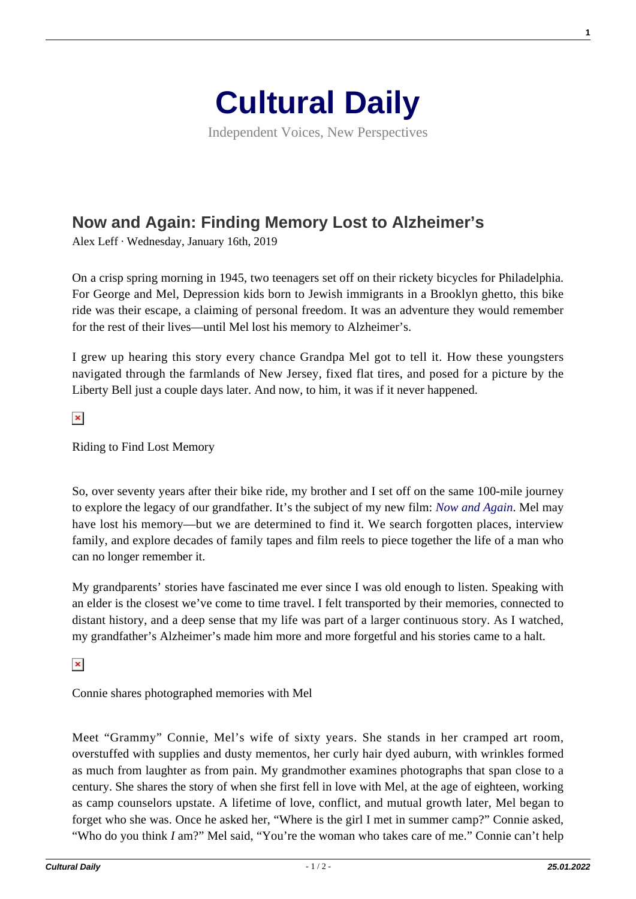

Independent Voices, New Perspectives

## **[Now and Again: Finding Memory Lost to Alzheimer's](https://culturaldaily.com/now-again-finding-memory-lost-alzheimers/)**

Alex Leff · Wednesday, January 16th, 2019

On a crisp spring morning in 1945, two teenagers set off on their rickety bicycles for Philadelphia. For George and Mel, Depression kids born to Jewish immigrants in a Brooklyn ghetto, this bike ride was their escape, a claiming of personal freedom. It was an adventure they would remember for the rest of their lives—until Mel lost his memory to Alzheimer's.

I grew up hearing this story every chance Grandpa Mel got to tell it. How these youngsters navigated through the farmlands of New Jersey, fixed flat tires, and posed for a picture by the Liberty Bell just a couple days later. And now, to him, it was if it never happened.

 $\pmb{\times}$ 

Riding to Find Lost Memory

So, over seventy years after their bike ride, my brother and I set off on the same 100-mile journey to explore the legacy of our grandfather. It's the subject of my new film: *[Now and Again](https://www.ashbournefilms.com/)*. Mel may have lost his memory—but we are determined to find it. We search forgotten places, interview family, and explore decades of family tapes and film reels to piece together the life of a man who can no longer remember it.

My grandparents' stories have fascinated me ever since I was old enough to listen. Speaking with an elder is the closest we've come to time travel. I felt transported by their memories, connected to distant history, and a deep sense that my life was part of a larger continuous story. As I watched, my grandfather's Alzheimer's made him more and more forgetful and his stories came to a halt.

 $\pmb{\times}$ 

Connie shares photographed memories with Mel

Meet "Grammy" Connie, Mel's wife of sixty years. She stands in her cramped art room, overstuffed with supplies and dusty mementos, her curly hair dyed auburn, with wrinkles formed as much from laughter as from pain. My grandmother examines photographs that span close to a century. She shares the story of when she first fell in love with Mel, at the age of eighteen, working as camp counselors upstate. A lifetime of love, conflict, and mutual growth later, Mel began to forget who she was. Once he asked her, "Where is the girl I met in summer camp?" Connie asked, "Who do you think *I* am?" Mel said, "You're the woman who takes care of me." Connie can't help **1**